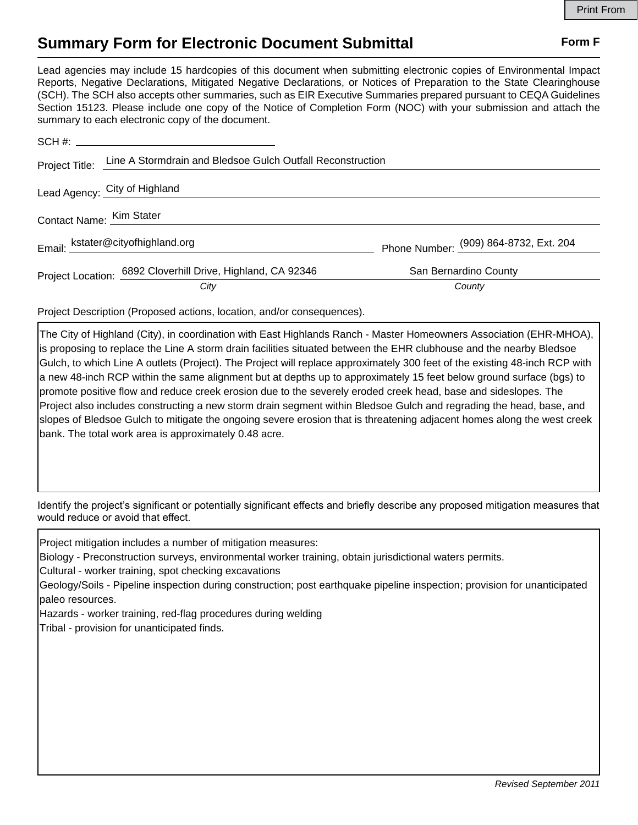## **Summary Form for Electronic Document Submittal Form F Form F**

Lead agencies may include 15 hardcopies of this document when submitting electronic copies of Environmental Impact Reports, Negative Declarations, Mitigated Negative Declarations, or Notices of Preparation to the State Clearinghouse (SCH). The SCH also accepts other summaries, such as EIR Executive Summaries prepared pursuant to CEQA Guidelines Section 15123. Please include one copy of the Notice of Completion Form (NOC) with your submission and attach the summary to each electronic copy of the document.

| Project Title:           | Line A Stormdrain and Bledsoe Gulch Outfall Reconstruction  |                                        |
|--------------------------|-------------------------------------------------------------|----------------------------------------|
|                          | Lead Agency: City of Highland                               |                                        |
| Contact Name: Kim Stater |                                                             |                                        |
|                          | Email: kstater@cityofhighland.org                           | Phone Number: (909) 864-8732, Ext. 204 |
|                          | Project Location: 6892 Cloverhill Drive, Highland, CA 92346 | San Bernardino County                  |
|                          | City                                                        | County                                 |

Project Description (Proposed actions, location, and/or consequences).

The City of Highland (City), in coordination with East Highlands Ranch - Master Homeowners Association (EHR-MHOA), is proposing to replace the Line A storm drain facilities situated between the EHR clubhouse and the nearby Bledsoe Gulch, to which Line A outlets (Project). The Project will replace approximately 300 feet of the existing 48-inch RCP with a new 48-inch RCP within the same alignment but at depths up to approximately 15 feet below ground surface (bgs) to promote positive flow and reduce creek erosion due to the severely eroded creek head, base and sideslopes. The Project also includes constructing a new storm drain segment within Bledsoe Gulch and regrading the head, base, and slopes of Bledsoe Gulch to mitigate the ongoing severe erosion that is threatening adjacent homes along the west creek bank. The total work area is approximately 0.48 acre.

Identify the project's significant or potentially significant effects and briefly describe any proposed mitigation measures that would reduce or avoid that effect.

Project mitigation includes a number of mitigation measures:

Biology - Preconstruction surveys, environmental worker training, obtain jurisdictional waters permits.

Cultural - worker training, spot checking excavations

Geology/Soils - Pipeline inspection during construction; post earthquake pipeline inspection; provision for unanticipated paleo resources.

Hazards - worker training, red-flag procedures during welding

Tribal - provision for unanticipated finds.